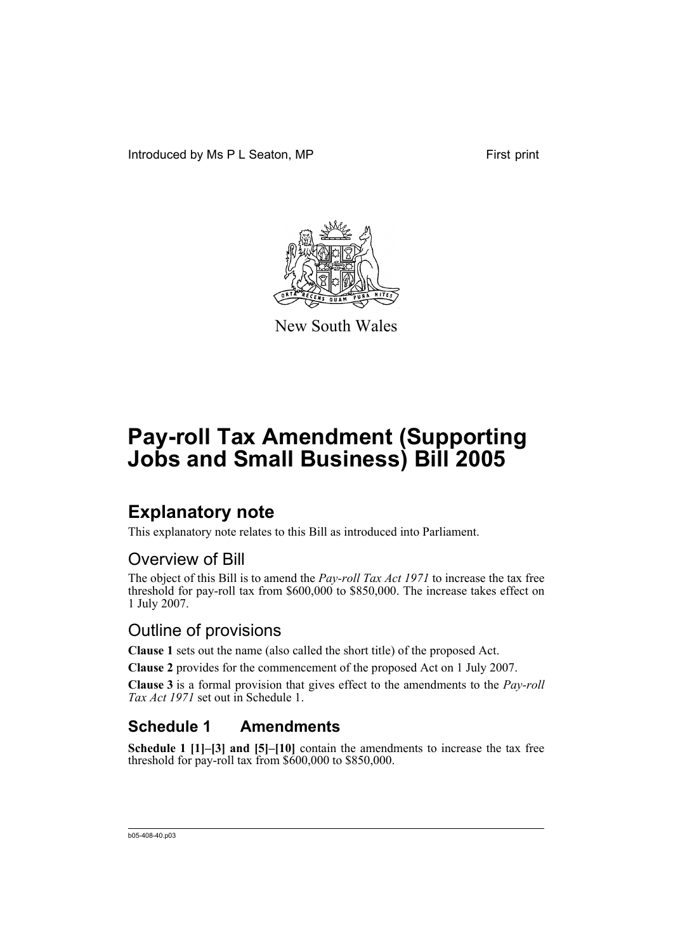Introduced by Ms P L Seaton, MP First print



New South Wales

# **Pay-roll Tax Amendment (Supporting Jobs and Small Business) Bill 2005**

# **Explanatory note**

This explanatory note relates to this Bill as introduced into Parliament.

## Overview of Bill

The object of this Bill is to amend the *Pay-roll Tax Act 1971* to increase the tax free threshold for pay-roll tax from \$600,000 to \$850,000. The increase takes effect on 1 July 2007.

## Outline of provisions

**Clause 1** sets out the name (also called the short title) of the proposed Act.

**Clause 2** provides for the commencement of the proposed Act on 1 July 2007.

**Clause 3** is a formal provision that gives effect to the amendments to the *Pay-roll Tax Act 1971* set out in Schedule 1.

## **Schedule 1 Amendments**

**Schedule 1 [1]–[3] and [5]–[10]** contain the amendments to increase the tax free threshold for pay-roll tax from \$600,000 to \$850,000.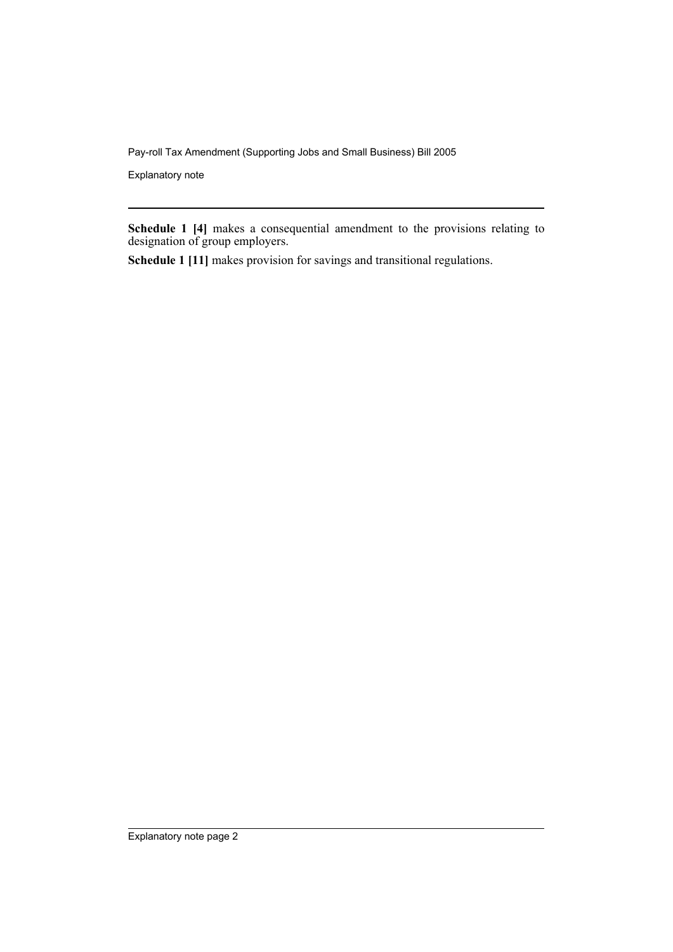Explanatory note

**Schedule 1 [4]** makes a consequential amendment to the provisions relating to designation of group employers.

**Schedule 1 [11]** makes provision for savings and transitional regulations.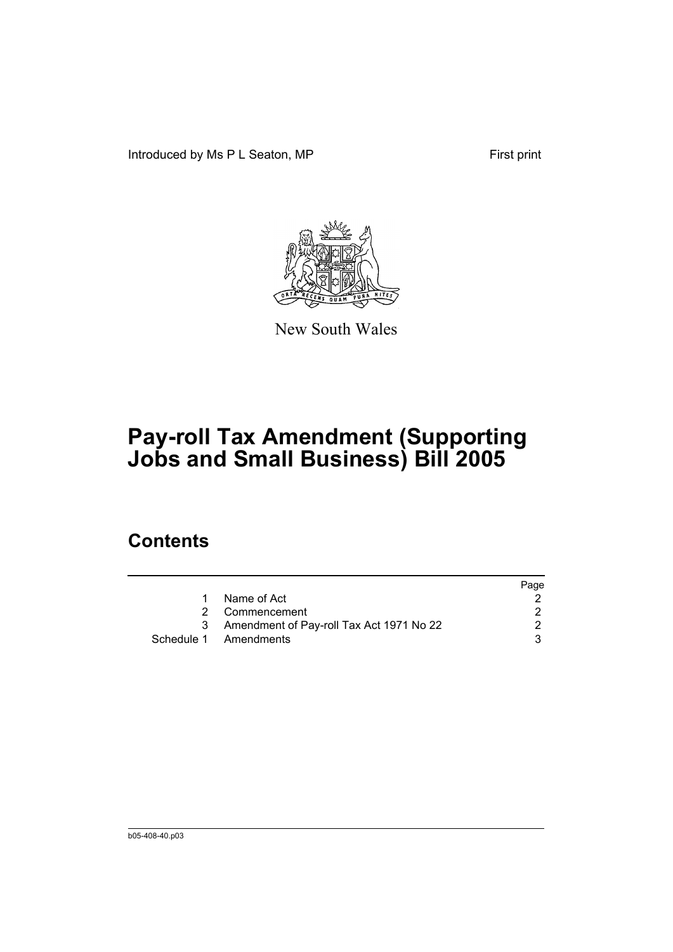Introduced by Ms P L Seaton, MP First print



New South Wales

# **Pay-roll Tax Amendment (Supporting Jobs and Small Business) Bill 2005**

# **Contents**

|   |                                          | Page |
|---|------------------------------------------|------|
|   | Name of Act                              |      |
|   | 2 Commencement                           |      |
| 3 | Amendment of Pay-roll Tax Act 1971 No 22 |      |
|   | Schedule 1 Amendments                    | 3    |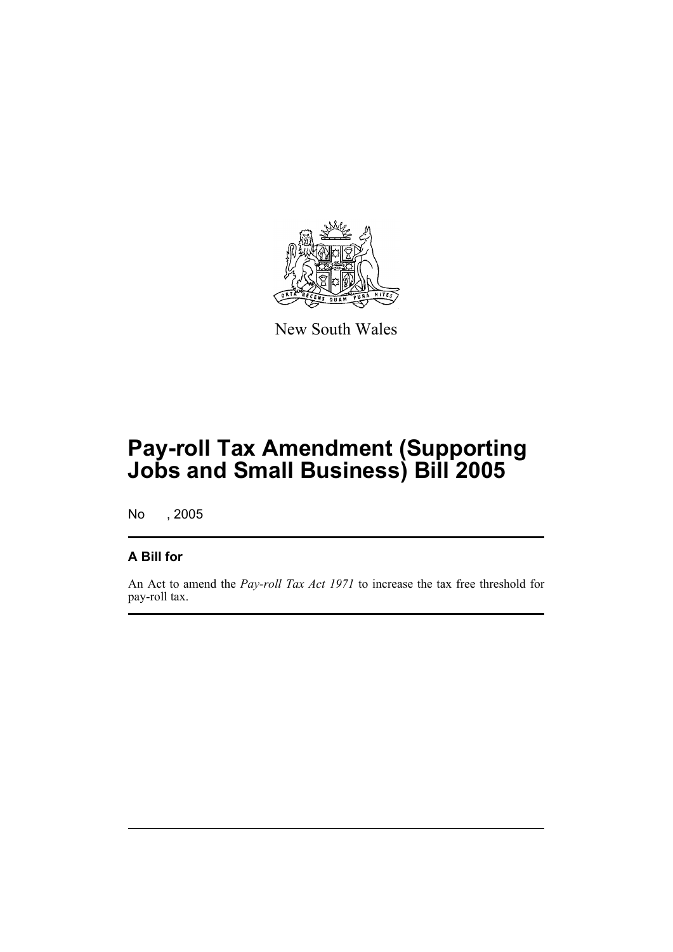

New South Wales

# **Pay-roll Tax Amendment (Supporting Jobs and Small Business) Bill 2005**

No , 2005

## **A Bill for**

An Act to amend the *Pay-roll Tax Act 1971* to increase the tax free threshold for pay-roll tax.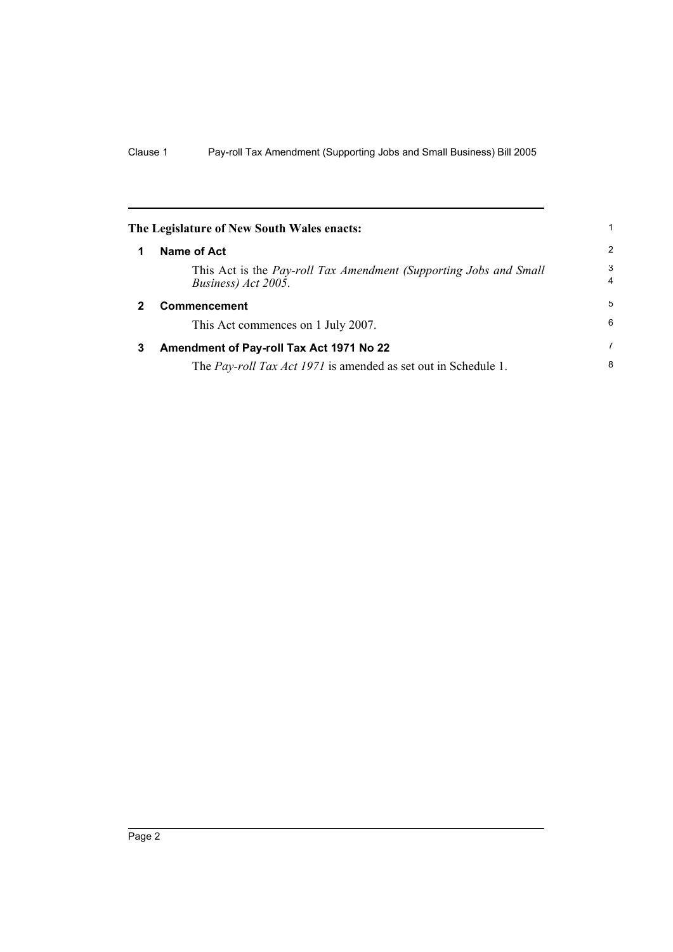|              | The Legislature of New South Wales enacts:                                               |                     |
|--------------|------------------------------------------------------------------------------------------|---------------------|
| 1            | Name of Act                                                                              | 2                   |
|              | This Act is the Pay-roll Tax Amendment (Supporting Jobs and Small<br>Business) Act 2005. | 3<br>$\overline{4}$ |
| $\mathbf{2}$ | Commencement                                                                             | 5                   |
|              | This Act commences on 1 July 2007.                                                       | 6                   |
| 3            | Amendment of Pay-roll Tax Act 1971 No 22                                                 | 7                   |
|              | The <i>Pay-roll Tax Act 1971</i> is amended as set out in Schedule 1.                    | 8                   |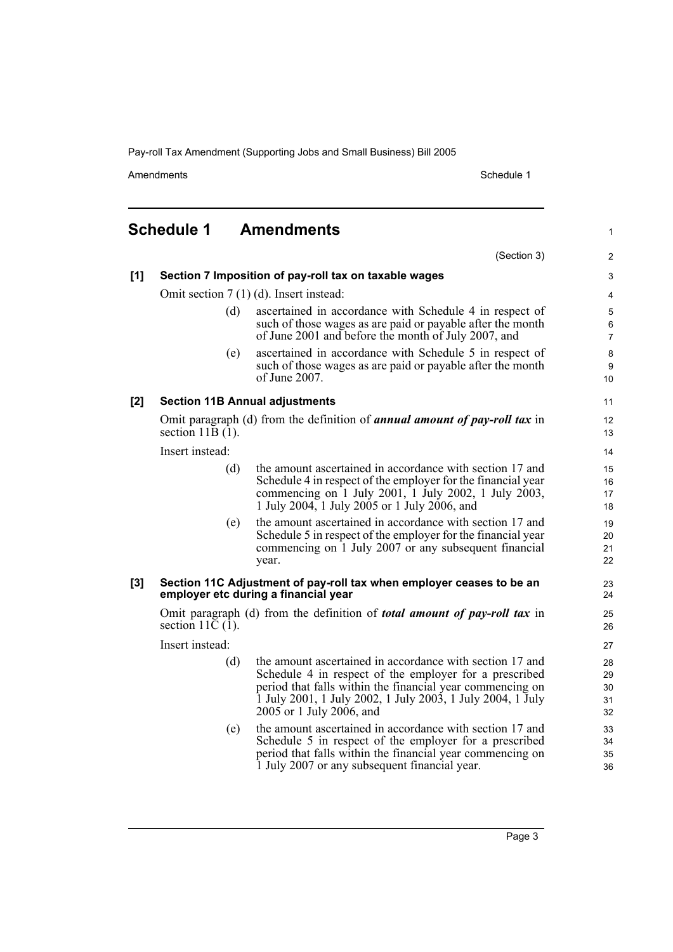Amendments Schedule 1

1

# **Schedule 1 Amendments**

|     |                                          | (Section 3)                                                                                                                                                                                                                                                               | 2                          |
|-----|------------------------------------------|---------------------------------------------------------------------------------------------------------------------------------------------------------------------------------------------------------------------------------------------------------------------------|----------------------------|
| [1] |                                          | Section 7 Imposition of pay-roll tax on taxable wages                                                                                                                                                                                                                     | 3                          |
|     | Omit section $7(1)(d)$ . Insert instead: |                                                                                                                                                                                                                                                                           |                            |
|     | (d)                                      | ascertained in accordance with Schedule 4 in respect of<br>such of those wages as are paid or payable after the month<br>of June 2001 and before the month of July 2007, and                                                                                              | 5<br>6<br>$\overline{7}$   |
|     | (e)                                      | ascertained in accordance with Schedule 5 in respect of<br>such of those wages as are paid or payable after the month<br>of June 2007.                                                                                                                                    | 8<br>9<br>10               |
| [2] |                                          | <b>Section 11B Annual adjustments</b>                                                                                                                                                                                                                                     | 11                         |
|     | section $11B(1)$ .                       | Omit paragraph (d) from the definition of <i>annual amount of pay-roll tax</i> in                                                                                                                                                                                         | 12<br>13                   |
|     | Insert instead:                          |                                                                                                                                                                                                                                                                           | 14                         |
|     | (d)                                      | the amount ascertained in accordance with section 17 and<br>Schedule 4 in respect of the employer for the financial year<br>commencing on 1 July 2001, 1 July 2002, 1 July 2003,<br>1 July 2004, 1 July 2005 or 1 July 2006, and                                          | 15<br>16<br>17<br>18       |
|     | (e)                                      | the amount ascertained in accordance with section 17 and<br>Schedule 5 in respect of the employer for the financial year<br>commencing on 1 July 2007 or any subsequent financial<br>year.                                                                                | 19<br>20<br>21<br>22       |
| [3] |                                          | Section 11C Adjustment of pay-roll tax when employer ceases to be an<br>employer etc during a financial year                                                                                                                                                              | 23<br>24                   |
|     | section 11 $\overline{C}$ (1).           | Omit paragraph (d) from the definition of <i>total amount of pay-roll tax</i> in                                                                                                                                                                                          | 25<br>26                   |
|     | Insert instead:                          |                                                                                                                                                                                                                                                                           | 27                         |
|     | (d)                                      | the amount ascertained in accordance with section 17 and<br>Schedule 4 in respect of the employer for a prescribed<br>period that falls within the financial year commencing on<br>1 July 2001, 1 July 2002, 1 July 2003, 1 July 2004, 1 July<br>2005 or 1 July 2006, and | 28<br>29<br>30<br>31<br>32 |
|     | (e)                                      | the amount ascertained in accordance with section 17 and<br>Schedule 5 in respect of the employer for a prescribed<br>period that falls within the financial year commencing on<br>1 July 2007 or any subsequent financial year.                                          | 33<br>34<br>35<br>36       |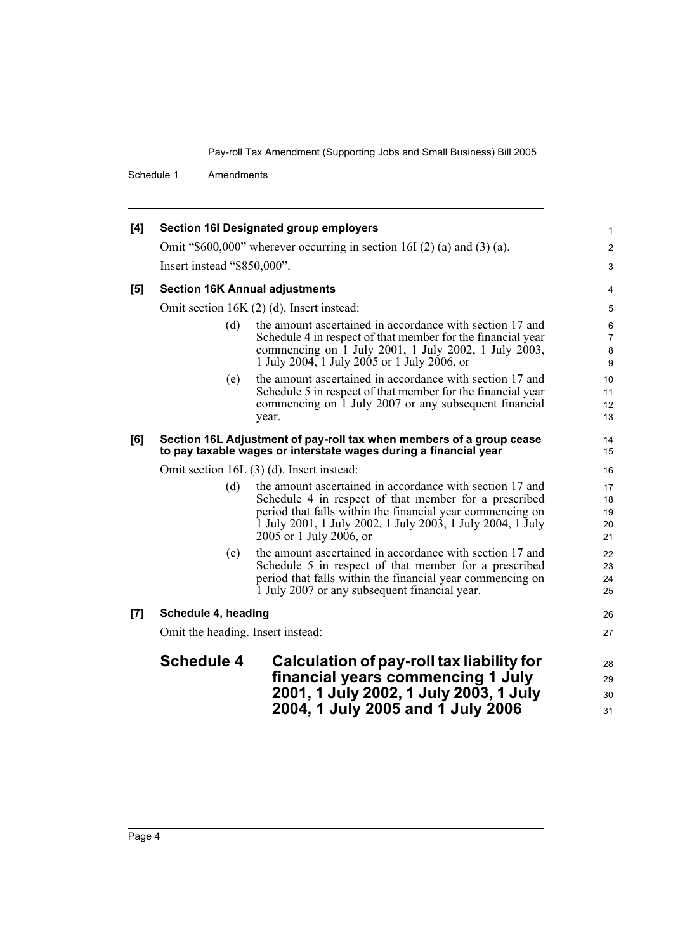Schedule 1 Amendments

| [4]   |                                       | <b>Section 16I Designated group employers</b>                                                                                                                                                                                                                           | 1                                  |
|-------|---------------------------------------|-------------------------------------------------------------------------------------------------------------------------------------------------------------------------------------------------------------------------------------------------------------------------|------------------------------------|
|       |                                       | Omit "\$600,000" wherever occurring in section 16I $(2)$ (a) and $(3)$ (a).                                                                                                                                                                                             | 2                                  |
|       | Insert instead "\$850,000".           |                                                                                                                                                                                                                                                                         | 3                                  |
| $[5]$ | <b>Section 16K Annual adjustments</b> |                                                                                                                                                                                                                                                                         | 4                                  |
|       |                                       | Omit section 16K (2) (d). Insert instead:                                                                                                                                                                                                                               | 5                                  |
|       | (d)                                   | the amount ascertained in accordance with section 17 and<br>Schedule 4 in respect of that member for the financial year<br>commencing on 1 July 2001, 1 July 2002, 1 July 2003,<br>1 July 2004, 1 July 2005 or 1 July 2006, or                                          | 6<br>$\overline{7}$<br>8<br>9      |
|       | (e)                                   | the amount ascertained in accordance with section 17 and<br>Schedule 5 in respect of that member for the financial year<br>commencing on 1 July 2007 or any subsequent financial<br>year.                                                                               | 10 <sup>10</sup><br>11<br>12<br>13 |
| [6]   |                                       | Section 16L Adjustment of pay-roll tax when members of a group cease<br>to pay taxable wages or interstate wages during a financial year                                                                                                                                | 14<br>15                           |
|       |                                       | Omit section 16L (3) (d). Insert instead:                                                                                                                                                                                                                               | 16                                 |
|       | (d)                                   | the amount ascertained in accordance with section 17 and<br>Schedule 4 in respect of that member for a prescribed<br>period that falls within the financial year commencing on<br>1 July 2001, 1 July 2002, 1 July 2003, 1 July 2004, 1 July<br>2005 or 1 July 2006, or | 17<br>18<br>19<br>20<br>21         |
|       | (e)                                   | the amount ascertained in accordance with section 17 and<br>Schedule 5 in respect of that member for a prescribed<br>period that falls within the financial year commencing on<br>1 July 2007 or any subsequent financial year.                                         | 22<br>23<br>24<br>25               |
| [7]   | Schedule 4, heading                   |                                                                                                                                                                                                                                                                         | 26                                 |
|       | Omit the heading. Insert instead:     |                                                                                                                                                                                                                                                                         | 27                                 |
|       | <b>Schedule 4</b>                     | Calculation of pay-roll tax liability for                                                                                                                                                                                                                               | 28                                 |
|       |                                       | financial years commencing 1 July                                                                                                                                                                                                                                       | 29                                 |
|       |                                       | 2001, 1 July 2002, 1 July 2003, 1 July<br>2004, 1 July 2005 and 1 July 2006                                                                                                                                                                                             | 30<br>31                           |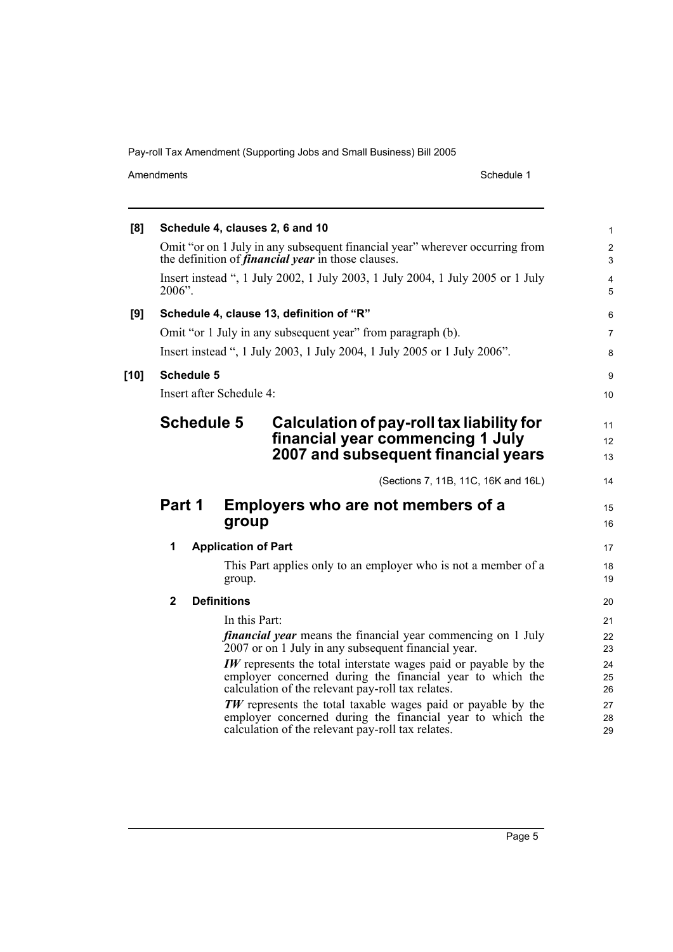Amendments Schedule 1

| [8]    |              |                   | Schedule 4, clauses 2, 6 and 10                                                                                                                                                          | $\mathbf{1}$                 |
|--------|--------------|-------------------|------------------------------------------------------------------------------------------------------------------------------------------------------------------------------------------|------------------------------|
|        |              |                   | Omit "or on 1 July in any subsequent financial year" wherever occurring from<br>the definition of <i>financial year</i> in those clauses.                                                | $\overline{c}$<br>3          |
|        | 2006".       |                   | Insert instead ", 1 July 2002, 1 July 2003, 1 July 2004, 1 July 2005 or 1 July                                                                                                           | $\overline{\mathbf{4}}$<br>5 |
| [9]    |              |                   | Schedule 4, clause 13, definition of "R"                                                                                                                                                 | 6                            |
|        |              |                   | Omit "or 1 July in any subsequent year" from paragraph (b).                                                                                                                              | $\overline{7}$               |
|        |              |                   | Insert instead ", 1 July 2003, 1 July 2004, 1 July 2005 or 1 July 2006".                                                                                                                 | 8                            |
| $[10]$ |              | <b>Schedule 5</b> |                                                                                                                                                                                          | 9                            |
|        |              |                   | Insert after Schedule 4:                                                                                                                                                                 | 10                           |
|        |              |                   | <b>Schedule 5</b><br>Calculation of pay-roll tax liability for<br>financial year commencing 1 July<br>2007 and subsequent financial years                                                | 11<br>12<br>13               |
|        |              |                   | (Sections 7, 11B, 11C, 16K and 16L)                                                                                                                                                      | 14                           |
|        | Part 1       |                   | Employers who are not members of a<br>group                                                                                                                                              | 15<br>16                     |
|        | 1            |                   | <b>Application of Part</b>                                                                                                                                                               | 17                           |
|        |              |                   | This Part applies only to an employer who is not a member of a<br>group.                                                                                                                 | 18<br>19                     |
|        | $\mathbf{2}$ |                   | <b>Definitions</b>                                                                                                                                                                       | 20                           |
|        |              |                   | In this Part:<br><i>financial year</i> means the financial year commencing on 1 July<br>2007 or on 1 July in any subsequent financial year.                                              | 21<br>22<br>23               |
|        |              |                   | <b>IW</b> represents the total interstate wages paid or payable by the<br>employer concerned during the financial year to which the<br>calculation of the relevant pay-roll tax relates. | 24<br>25<br>26               |
|        |              |                   | $TW$ represents the total taxable wages paid or payable by the<br>employer concerned during the financial year to which the<br>calculation of the relevant pay-roll tax relates.         | 27<br>28<br>29               |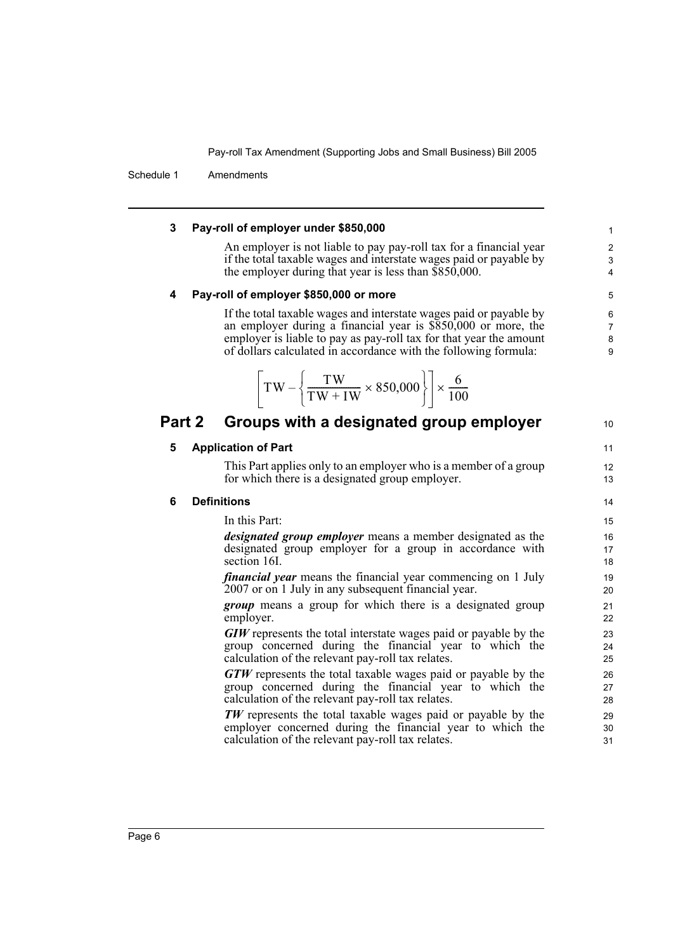Schedule 1 Amendments

### **3 Pay-roll of employer under \$850,000**

An employer is not liable to pay pay-roll tax for a financial year if the total taxable wages and interstate wages paid or payable by the employer during that year is less than \$850,000.

## **4 Pay-roll of employer \$850,000 or more**

If the total taxable wages and interstate wages paid or payable by an employer during a financial year is \$850,000 or more, the employer is liable to pay as pay-roll tax for that year the amount of dollars calculated in accordance with the following formula:

$$
\left[\text{TW} - \left\{\frac{\text{TW}}{\text{TW} + \text{IW}} \times 850,000\right\}\right] \times \frac{6}{100}
$$

## **Part 2 Groups with a designated group employer**

## **5 Application of Part**

This Part applies only to an employer who is a member of a group for which there is a designated group employer.

13 14

10

11 12

## **6 Definitions**

In this Part:

*designated group employer* means a member designated as the designated group employer for a group in accordance with section 16I.

*financial year* means the financial year commencing on 1 July 2007 or on 1 July in any subsequent financial year.

*group* means a group for which there is a designated group employer.

*GIW* represents the total interstate wages paid or payable by the group concerned during the financial year to which the calculation of the relevant pay-roll tax relates.

*GTW* represents the total taxable wages paid or payable by the group concerned during the financial year to which the calculation of the relevant pay-roll tax relates.

*TW* represents the total taxable wages paid or payable by the employer concerned during the financial year to which the calculation of the relevant pay-roll tax relates.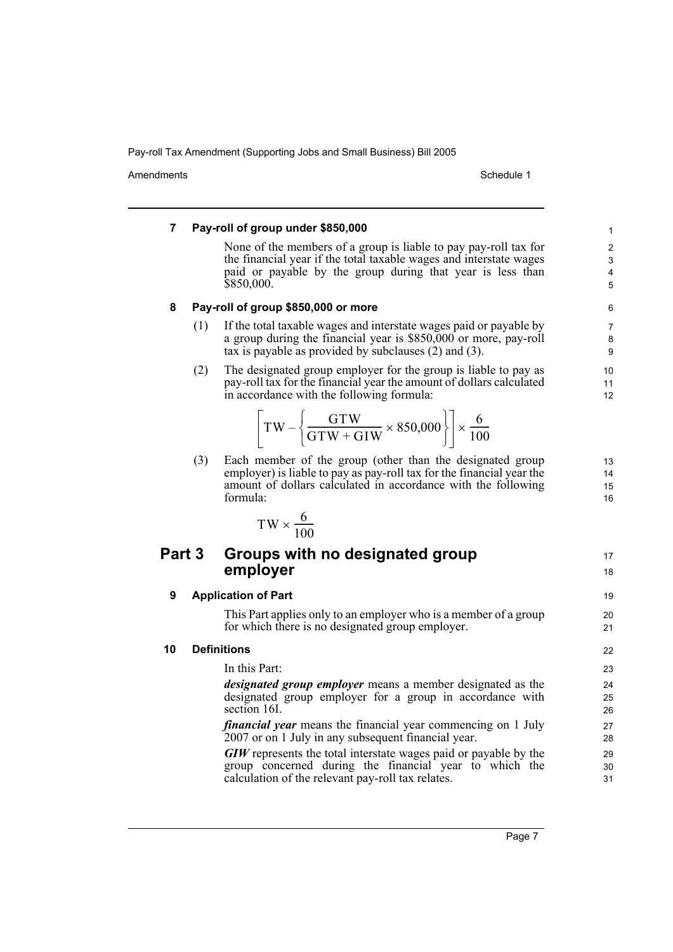Amendments **Amendments** Schedule 1

17 18

19  $20$ 21

## **7 Pay-roll of group under \$850,000**

None of the members of a group is liable to pay pay-roll tax for the financial year if the total taxable wages and interstate wages paid or payable by the group during that year is less than \$850,000.

### **8 Pay-roll of group \$850,000 or more**

- (1) If the total taxable wages and interstate wages paid or payable by a group during the financial year is \$850,000 or more, pay-roll tax is payable as provided by subclauses (2) and (3).
- (2) The designated group employer for the group is liable to pay as pay-roll tax for the financial year the amount of dollars calculated in accordance with the following formula:

$$
\left[\text{TW} - \left\{\frac{\text{GTW}}{\text{GTW} + \text{GIW}} \times 850,000\right\}\right] \times \frac{6}{100}
$$

(3) Each member of the group (other than the designated group employer) is liable to pay as pay-roll tax for the financial year the amount of dollars calculated in accordance with the following formula:

$$
TW \times \frac{6}{100}
$$

## **Part 3 Groups with no designated group employer**

### **9 Application of Part**

This Part applies only to an employer who is a member of a group for which there is no designated group employer.

### **10 Definitions**

In this Part: *designated group employer* means a member designated as the designated group employer for a group in accordance with

section 16I. *financial year* means the financial year commencing on 1 July 2007 or on 1 July in any subsequent financial year.

*GIW* represents the total interstate wages paid or payable by the group concerned during the financial year to which the calculation of the relevant pay-roll tax relates.